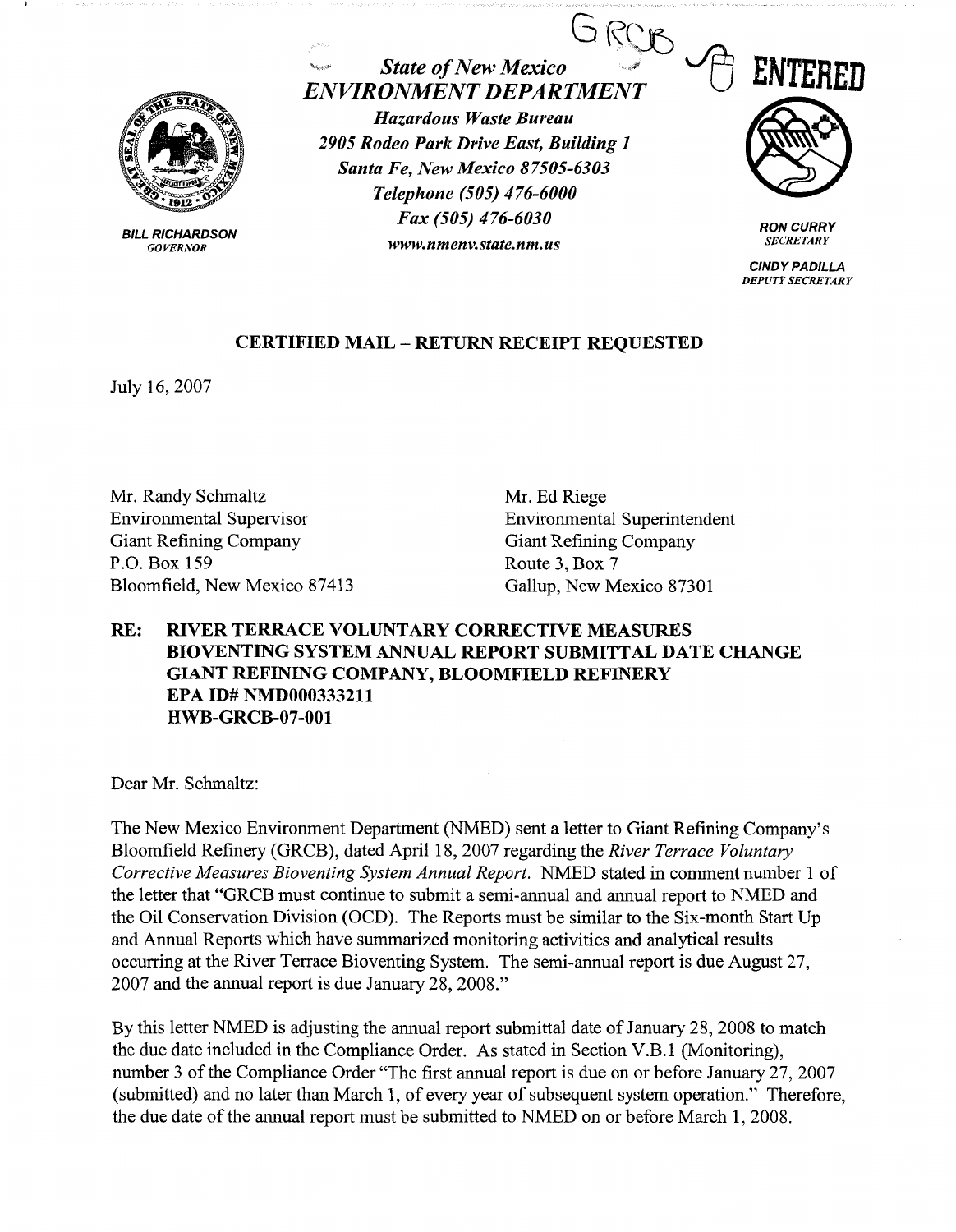

**BILL RICHARDSON** *GOVERNOR* 

GRCB, *State of New Mexico*  $\rightarrow$   $\rightarrow$  **ENTERED** *ENVIRONMENT DEPARTMENT* l)

*Hazardous Waste Bureau 1905 Rodeo Park Drive East, Building 1 Santa Fe, New Mexico 87505-6303 Telephone (505) 476-6000 Fax (505) 476-6030 www.nmenv.state.nm.us* 



**RON CURRY**  *SECRETARY* 

**CINDY PADILLA**  *DEPUTY SECRETARY* 

## **CERTIFIED MAIL** - **RETURN RECEIPT REQUESTED**

July 16, 2007

Mr. Randy Schmaltz Environmental Supervisor Giant Refining Company P.O. Box 159 Bloomfield, New Mexico 87413 Mr. Ed Riege Environmental Superintendent Giant Refining Company Route 3, Box 7 Gallup, New Mexico 87301

## **RE: RIVER TERRACE VOLUNTARY CORRECTIVE MEASURES BIOVENTING SYSTEM ANNUAL REPORT SUBMITTAL DATE CHANGE GIANT REFINING COMPANY, BLOOMFIELD REFINERY EPA ID# NMD000333211 HWB-GRCB-07-001**

Dear Mr. Schmaltz:

The New Mexico Environment Department (NMED) sent a letter to Giant Refining Company's Bloomfield Refinery (GRCB), dated April 18, 2007 regarding the *River Terrace Voluntary Corrective Measures Bioventing System Annual Report.* NMED stated in comment number 1 of the letter that "GRCB must continue to submit a semi-annual and annual report to NMED and the Oil Conservation Division (OCD). The Reports must be similar to the Six-month Start Up and Annual Reports which have summarized monitoring activities and analytical results occurring at the River Terrace Bioventing System. The semi-annual report is due August 27, 2007 and the annual report is due January 28, 2008."

By this letter NMED is adjusting the annual report submittal date of January 28, 2008 to match the due date included in the Compliance Order. As stated in Section V.B.1 (Monitoring), number 3 of the Compliance Order "The first annual report is due on or before January 27, 2007 ( submitted) and no later than March 1, of every year of subsequent system operation." Therefore, the due date of the annual report must be submitted to NMED on or before March 1, 2008.